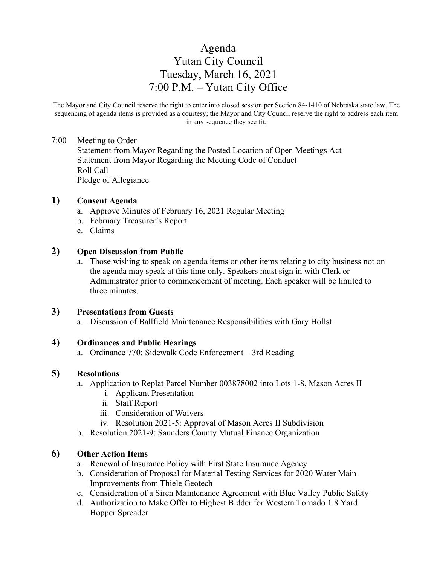# Agenda Yutan City Council Tuesday, March 16, 2021 7:00 P.M. – Yutan City Office

The Mayor and City Council reserve the right to enter into closed session per Section 84-1410 of Nebraska state law. The sequencing of agenda items is provided as a courtesy; the Mayor and City Council reserve the right to address each item in any sequence they see fit.

#### 7:00 Meeting to Order

Statement from Mayor Regarding the Posted Location of Open Meetings Act Statement from Mayor Regarding the Meeting Code of Conduct Roll Call Pledge of Allegiance

### **1) Consent Agenda**

- a. Approve Minutes of February 16, 2021 Regular Meeting
- b. February Treasurer's Report
- c. Claims

#### **2) Open Discussion from Public**

a. Those wishing to speak on agenda items or other items relating to city business not on the agenda may speak at this time only. Speakers must sign in with Clerk or Administrator prior to commencement of meeting. Each speaker will be limited to three minutes.

#### **3) Presentations from Guests**

a. Discussion of Ballfield Maintenance Responsibilities with Gary Hollst

### **4) Ordinances and Public Hearings**

a. Ordinance 770: Sidewalk Code Enforcement – 3rd Reading

### **5) Resolutions**

- a. Application to Replat Parcel Number 003878002 into Lots 1-8, Mason Acres II
	- i. Applicant Presentation
	- ii. Staff Report
	- iii. Consideration of Waivers
	- iv. Resolution 2021-5: Approval of Mason Acres II Subdivision
- b. Resolution 2021-9: Saunders County Mutual Finance Organization

## **6) Other Action Items**

- a. Renewal of Insurance Policy with First State Insurance Agency
- b. Consideration of Proposal for Material Testing Services for 2020 Water Main Improvements from Thiele Geotech
- c. Consideration of a Siren Maintenance Agreement with Blue Valley Public Safety
- d. Authorization to Make Offer to Highest Bidder for Western Tornado 1.8 Yard Hopper Spreader